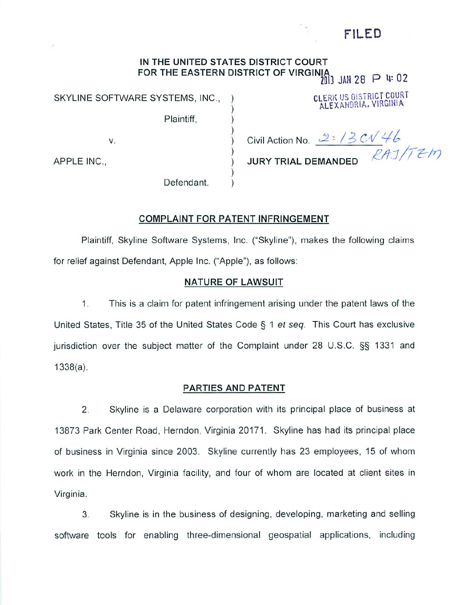# FILED

# *IN THE UNITED STATES DISTRICT COURT FOR THE EASTERN DISTRICT OF VIRGINly* % JAN 28 P U= 02

Plaintiff,

Defendant.

SKYLINE SOFTWARE SYSTEMS, INC., ) CLERK US DISTRICT COURT ALEXANDRIA. VIRGINIA

v.

*JURY TRIAL DEMANDED \*" '*

Civil Action No. 2: 13 CV 46

APPLE INC.,

# *COMPLAINT FOR PATENT INFRINGEMENT*

Plaintiff, Skyline Software Systems, Inc. ("Skyline"), makes the following claims for relief against Defendant, Apple Inc. ("Apple"), as follows:

## *NATURE OF LAWSUIT*

1. This is a claim for patent infringement arising under the patent laws of the United States, Title 35 of the United States Code § 1 **et seq.** This Court has exclusive jurisdiction over the subject matter of the Complaint under 28 U.S.C. §§ 1331 *and* 1338(a).

## *PARTIES AND PATENT*

2. Skyline is a Delaware corporation with its principal place of business at 13873 Park Center Road, Herndon, Virginia 20171. Skyline has had its principal place of business in Virginia since 2003. Skyline currently has 23 employees, 15 of whom work in the Herndon, Virginia facility, and four of whom are located at client sites in Virginia.

3. Skyline is in the business of designing, developing, marketing and selling software tools for enabling three-dimensional geospatial applications, including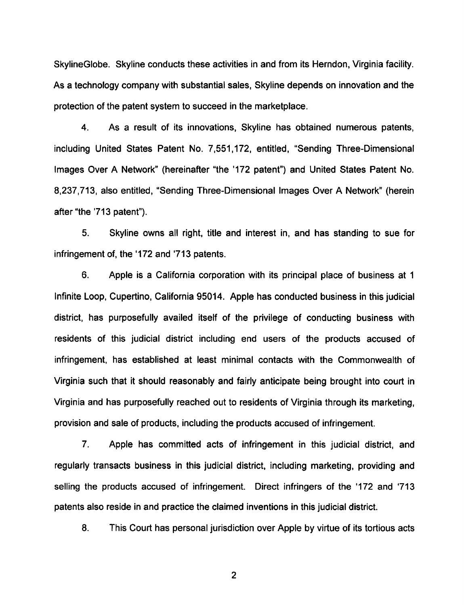SkylineGlobe. Skyline conducts these activities in and from its Herndon, Virginia facility. As a technology company with substantial sales, Skyline depends on innovation and the protection of the patent system to succeed in the marketplace.

4. As a result of its innovations, Skyline has obtained numerous patents, including United States Patent No. 7,551,172, entitled, "Sending Three-Dimensional Images Over A Network" (hereinafter "the '172 patent") and United States Patent No. 8,237,713, also entitled, "Sending Three-Dimensional Images Over A Network" (herein after "the 713 patent").

5. Skyline owns all right, title and interest in, and has standing to sue for infringement of, the '172 and '713 patents.

6. Apple is a California corporation with its principal place of business at 1 Infinite Loop, Cupertino, California 95014. Apple has conducted business in this judicial district, has purposefully availed itself of the privilege of conducting business with residents of this judicial district including end users of the products accused of infringement, has established at least minimal contacts with the Commonwealth of Virginia such that it should reasonably and fairly anticipate being brought into court in Virginia and has purposefully reached out to residents of Virginia through its marketing, provision and sale of products, including the products accused of infringement.

7. Apple has committed acts of infringement in this judicial district, and regularly transacts business in this judicial district, including marketing, providing and selling the products accused of infringement. Direct infringers of the '172 and '713 patents also reside in and practice the claimed inventions in this judicial district.

8. This Court has personal jurisdiction over Apple by virtue of its tortious acts

 $\overline{2}$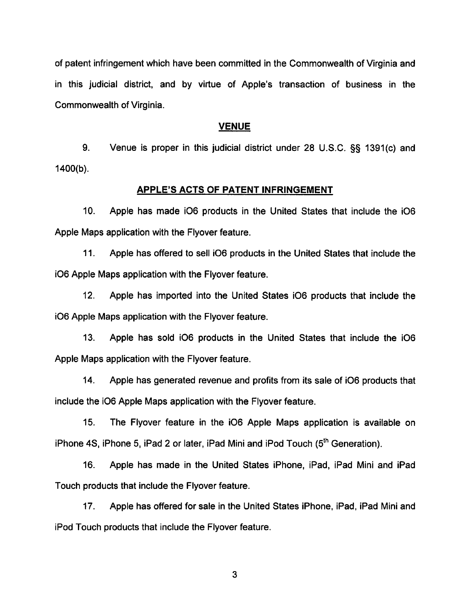of patent infringement which have been committed in the Commonwealth of Virginia and in this judicial district, and by virtue of Apple's transaction of business in the Commonwealth of Virginia.

### *VENUE*

9. Venue is proper in this judicial district under 28 U.S.C. §§ 1391(c) and 1400(b).

### *APPLE'S ACTS OF PATENT INFRINGEMENT*

10. Apple has made i06 products in the United States that include the i06 Apple Maps application with the Flyover feature.

11. Apple has offered to sell i06 products in the United States that include the i06 Apple Maps application with the Flyover feature.

12. Apple has imported into the United States i06 products that include the i06 Apple Maps application with the Flyover feature.

13. Apple has sold i06 products in the United States that include the i06 Apple Maps application with the Flyover feature.

14. Apple has generated revenue and profits from its sale of i06 products that include the i06 Apple Maps application with the Flyover feature.

15. The Flyover feature in the i06 Apple Maps application is available on iPhone 4S, iPhone 5, iPad 2 or later, iPad Mini and iPod Touch  $(5<sup>th</sup>$  Generation).

16. Apple has made in the United States iPhone, iPad, iPad Mini and iPad Touch products that include the Flyover feature.

17. Apple has offered for sale in the United States iPhone, iPad, iPad Mini and iPod Touch products that include the Flyover feature.

 $3\overline{3}$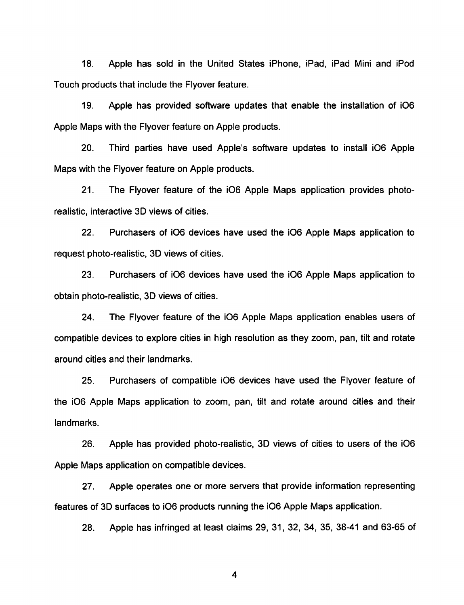18. Apple has sold in the United States iPhone, iPad, iPad Mini and iPod Touch products that include the Flyover feature.

19. Apple has provided software updates that enable the installation of i06 Apple Maps with the Flyover feature on Apple products.

20. Third parties have used Apple's software updates to install i06 Apple Maps with the Flyover feature on Apple products.

21. The Flyover feature of the i06 Apple Maps application provides photo realistic, interactive 3D views of cities.

22. Purchasers of i06 devices have used the i06 Apple Maps application to request photo-realistic, 3D views of cities.

23. Purchasers of i06 devices have used the i06 Apple Maps application to obtain photo-realistic, 3D views of cities.

24. The Flyover feature of the i06 Apple Maps application enables users of compatible devices to explore cities in high resolution as they zoom, pan, tilt and rotate around cities and their landmarks.

25. Purchasers of compatible i06 devices have used the Flyover feature of the i06 Apple Maps application to zoom, pan, tilt and rotate around cities and their landmarks.

26. Apple has provided photo-realistic, 3D views of cities to users of the i06 Apple Maps application on compatible devices.

27. Apple operates one or more servers that provide information representing features of 3D surfaces to i06 products running the i06 Apple Maps application.

28. Apple has infringed at least claims 29, 31, 32, 34, 35, 38-41 and 63-65 of

 $\overline{\mathbf{4}}$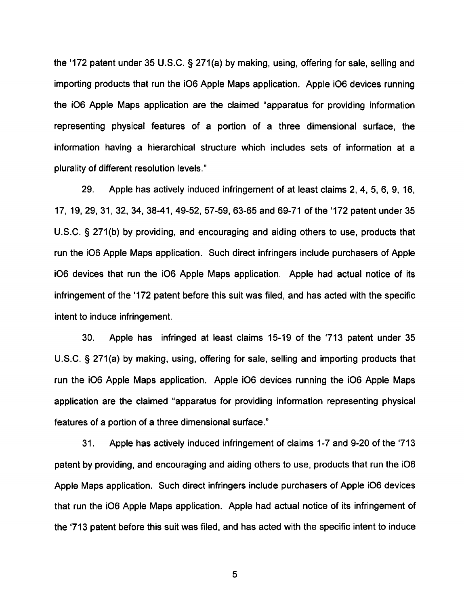the '172 patent under 35 U.S.C. § 271(a) by making, using, offering for sale, selling and importing products that run the i06 Apple Maps application. Apple i06 devices running the i06 Apple Maps application are the claimed "apparatus for providing information representing physical features of a portion of a three dimensional surface, the information having a hierarchical structure which includes sets of information at a plurality of different resolution levels."

29. Apple has actively induced infringement of at least claims 2, 4, 5, 6, 9, 16, 17, 19, 29, 31, 32, 34, 38-41, 49-52, 57-59, 63-65 and 69-71 of the '172 patent under 35 U.S.C. § 271(b) by providing, and encouraging and aiding others to use, products that run the i06 Apple Maps application. Such direct infringers include purchasers of Apple i06 devices that run the i06 Apple Maps application. Apple had actual notice of its infringement of the '172 patent before this suit was filed, and has acted with the specific intent to induce infringement.

30. Apple has infringed at least claims 15-19 of the 713 patent under 35 U.S.C. § 271(a) by making, using, offering for sale, selling and importing products that run the i06 Apple Maps application. Apple i06 devices running the i06 Apple Maps application are the claimed "apparatus for providing information representing physical features of a portion of a three dimensional surface."

31. Apple has actively induced infringement of claims 1-7 and 9-20 of the 713 patent by providing, and encouraging and aiding others to use, products that run the i06 Apple Maps application. Such direct infringers include purchasers of Apple i06 devices that run the i06 Apple Maps application. Apple had actual notice of its infringement of the 713 patent before this suit was filed, and has acted with the specific intent to induce

5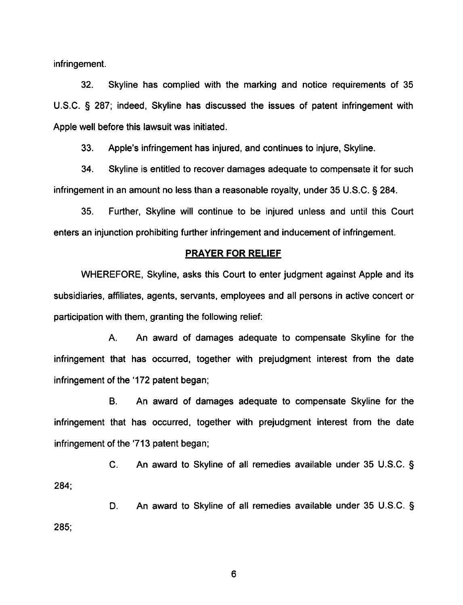infringement.

32. Skyline has complied with the marking and notice requirements of 35 U.S.C. § 287; indeed, Skyline has discussed the issues of patent infringement with Apple well before this lawsuit was initiated.

33. Apple's infringement has injured, and continues to injure, Skyline.

34. Skyline is entitled to recover damages adequate to compensate it for such infringement in an amount no less than a reasonable royalty, under 35 U.S.C. § 284.

35. Further, Skyline will continue to be injured unless and until this Court enters an injunction prohibiting further infringement and inducement of infringement.

### *PRAYER FOR RELIEF*

WHEREFORE, Skyline, asks this Court to enter judgment against Apple and its subsidiaries, affiliates, agents, servants, employees and all persons in active concert or participation with them, granting the following relief:

A. An award of damages adequate to compensate Skyline for the infringement that has occurred, together with prejudgment interest from the date infringement of the '172 patent began;

B. An award of damages adequate to compensate Skyline for the infringement that has occurred, together with prejudgment interest from the date infringement of the '713 patent began;

C. An award to Skyline of all remedies available under 35 U.S.C. § 284;

D. An award to Skyline of all remedies available under 35 U.S.C. § 285;

6